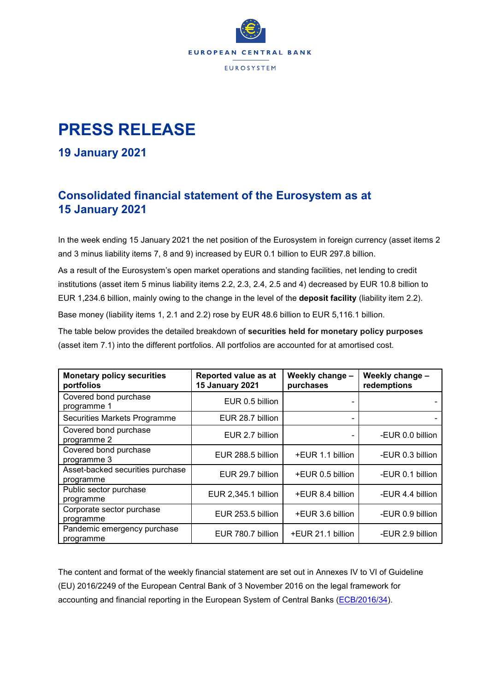

## **PRESS RELEASE**

## **19 January 2021**

## **Consolidated financial statement of the Eurosystem as at 15 January 2021**

In the week ending 15 January 2021 the net position of the Eurosystem in foreign currency (asset items 2 and 3 minus liability items 7, 8 and 9) increased by EUR 0.1 billion to EUR 297.8 billion.

As a result of the Eurosystem's open market operations and standing facilities, net lending to credit institutions (asset item 5 minus liability items 2.2, 2.3, 2.4, 2.5 and 4) decreased by EUR 10.8 billion to EUR 1,234.6 billion, mainly owing to the change in the level of the **deposit facility** (liability item 2.2).

Base money (liability items 1, 2.1 and 2.2) rose by EUR 48.6 billion to EUR 5,116.1 billion.

The table below provides the detailed breakdown of **securities held for monetary policy purposes** (asset item 7.1) into the different portfolios. All portfolios are accounted for at amortised cost.

| <b>Monetary policy securities</b><br>portfolios | Reported value as at<br><b>15 January 2021</b> | Weekly change -<br>purchases | Weekly change -<br>redemptions |  |
|-------------------------------------------------|------------------------------------------------|------------------------------|--------------------------------|--|
| Covered bond purchase<br>programme 1            | EUR 0.5 billion                                |                              |                                |  |
| Securities Markets Programme                    | EUR 28.7 billion                               |                              |                                |  |
| Covered bond purchase<br>programme 2            | EUR 2.7 billion                                |                              | -EUR 0.0 billion               |  |
| Covered bond purchase<br>programme 3            | EUR 288.5 billion                              | +EUR 1.1 billion             | -EUR 0.3 billion               |  |
| Asset-backed securities purchase<br>programme   | EUR 29.7 billion                               | +EUR 0.5 billion             | -EUR 0.1 billion               |  |
| Public sector purchase<br>programme             | EUR 2,345.1 billion                            | +EUR 8.4 billion             | -EUR 4.4 billion               |  |
| Corporate sector purchase<br>programme          | EUR 253.5 billion                              | +EUR 3.6 billion             | -EUR 0.9 billion               |  |
| Pandemic emergency purchase<br>programme        | EUR 780.7 billion                              | +EUR 21.1 billion            | -EUR 2.9 billion               |  |

The content and format of the weekly financial statement are set out in Annexes IV to VI of Guideline (EU) 2016/2249 of the European Central Bank of 3 November 2016 on the legal framework for accounting and financial reporting in the European System of Central Banks [\(ECB/2016/34\)](https://eur-lex.europa.eu/legal-content/EN/TXT/?qid=1599130224518&uri=CELEX:32016O0034).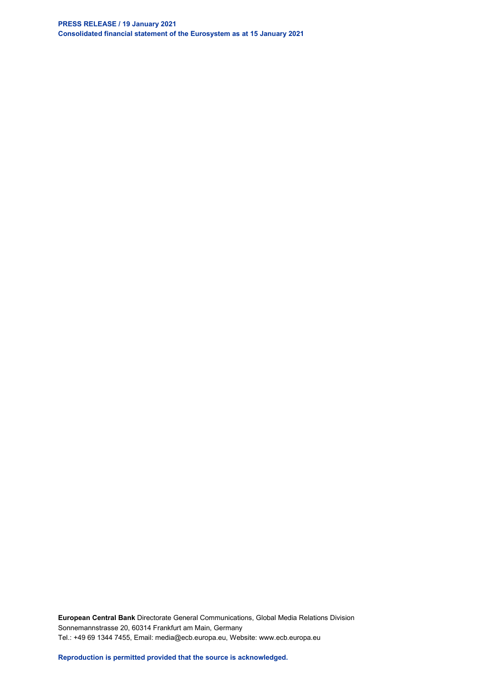**PRESS RELEASE / 19 January 2021 Consolidated financial statement of the Eurosystem as at 15 January 2021**

**European Central Bank** Directorate General Communications, Global Media Relations Division Sonnemannstrasse 20, 60314 Frankfurt am Main, Germany Tel.: +49 69 1344 7455, Email: media@ecb.europa.eu, Website: www.ecb.europa.eu